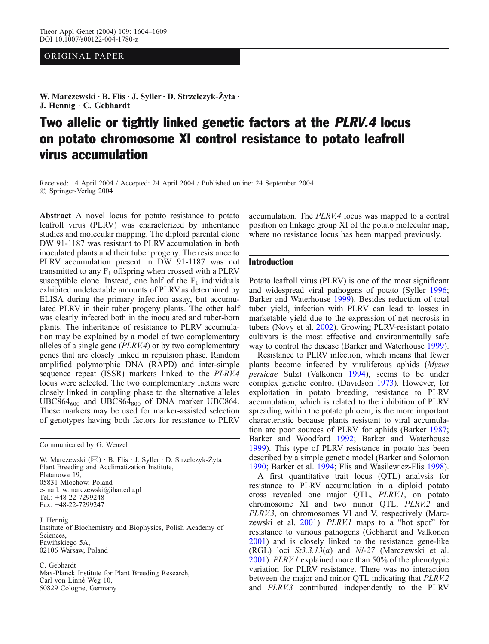# OR IG INAL PAPER

W. Marczewski · B. Flis · J. Syller · D. Strzelczyk-Żyta · J. Hennig · C. Gebhardt

# Two allelic or tightly linked genetic factors at the PLRV.4 locus on potato chromosome XI control resistance to potato leafroll virus accumulation

Received: 14 April 2004 / Accepted: 24 April 2004 / Published online: 24 September 2004 *#* Springer-Verlag 2004

Abstract A novel locus for potato resistance to potato leafroll virus (PLRV) was characterized by inheritance studies and molecular mapping. The diploid parental clone DW 91-1187 was resistant to PLRV accumulation in both inoculated plants and their tuber progeny. The resistance to PLRV accumulation present in DW 91-1187 was not transmitted to any  $F_1$  offspring when crossed with a PLRV susceptible clone. Instead, one half of the  $F_1$  individuals exhibited undetectable amounts of PLRV as determined by ELISA during the primary infection assay, but accumulated PLRV in their tuber progeny plants. The other half was clearly infected both in the inoculated and tuber-born plants. The inheritance of resistance to PLRV accumulation may be explained by a model of two complementary alleles of a single gene (PLRV.4) or by two complementary genes that are closely linked in repulsion phase. Random amplified polymorphic DNA (RAPD) and inter-simple sequence repeat (ISSR) markers linked to the PLRV.4 locus were selected. The two complementary factors were closely linked in coupling phase to the alternative alleles  $UBC864_{600}$  and  $UBC864_{800}$  of DNA marker UBC864. These markers may be used for marker-assisted selection of genotypes having both factors for resistance to PLRV

Communicated by G. Wenzel

W. Marczewski (⊠) · B. Flis · J. Syller · D. Strzelczyk-Żyta Plant Breeding and Acclimatization Institute, Platanowa 19, 05831 Mlochow, Poland e-mail: w.marczewski@ihar.edu.pl Tel.: +48-22-7299248 Fax: +48-22-7299247

J. Hennig Institute of Biochemistry and Biophysics, Polish Academy of Sciences, Pawińskiego 5A, 02106 Warsaw, Poland

C. Gebhardt Max-Planck Institute for Plant Breeding Research, Carl von Linné Weg 10, 50829 Cologne, Germany

accumulation. The PLRV.4 locus was mapped to a central position on linkage group XI of the potato molecular map, where no resistance locus has been mapped previously.

## Introduction

Potato leafroll virus (PLRV) is one of the most significant and widespread viral pathogens of potato (Syller [1996](#page-5-0); Barker and Waterhouse [1999\)](#page-4-0). Besides reduction of total tuber yield, infection with PLRV can lead to losses in marketable yield due to the expression of net necrosis in tubers (Novy et al. [2002](#page-5-0)). Growing PLRV-resistant potato cultivars is the most effective and environmentally safe way to control the disease (Barker and Waterhouse [1999](#page-4-0)).

Resistance to PLRV infection, which means that fewer plants become infected by viruliferous aphids (Myzus persicae Sulz) (Valkonen [1994](#page-5-0)), seems to be under complex genetic control (Davidson [1973](#page-4-0)). However, for exploitation in potato breeding, resistance to PLRV accumulation, which is related to the inhibition of PLRV spreading within the potato phloem, is the more important characteristic because plants resistant to viral accumulation are poor sources of PLRV for aphids (Barker [1987](#page-4-0); Barker and Woodford [1992;](#page-4-0) Barker and Waterhouse [1999](#page-4-0)). This type of PLRV resistance in potato has been described by a simple genetic model (Barker and Solomon [1990](#page-4-0); Barker et al. [1994](#page-4-0); Flis and Wasilewicz-Flis [1998](#page-4-0)).

A first quantitative trait locus (QTL) analysis for resistance to PLRV accumulation in a diploid potato cross revealed one major QTL, PLRV.1, on potato chromosome XI and two minor QTL, PLRV.2 and PLRV.3, on chromosomes VI and V, respectively (Marczewski et al. [2001](#page-5-0)). PLRV.1 maps to a "hot spot" for resistance to various pathogens (Gebhardt and Valkonen [2001](#page-4-0)) and is closely linked to the resistance gene-like (RGL) loci  $St3.3.13(a)$  and  $NI-27$  (Marczewski et al. [2001](#page-5-0)). PLRV.1 explained more than 50% of the phenotypic variation for PLRV resistance. There was no interaction between the major and minor QTL indicating that PLRV.2 and PLRV.3 contributed independently to the PLRV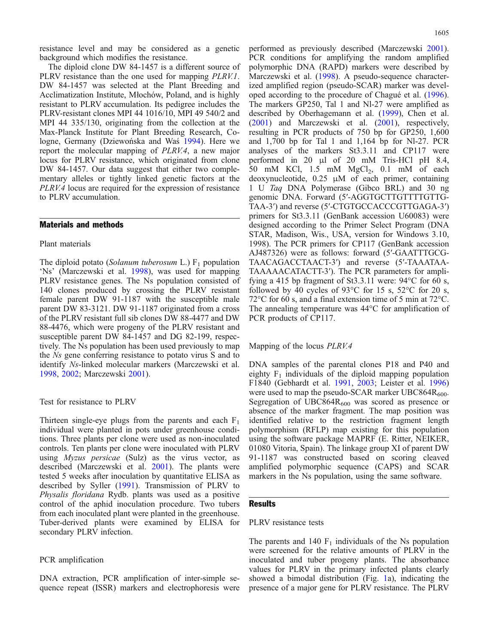resistance level and may be considered as a genetic background which modifies the resistance.

The diploid clone DW 84-1457 is a different source of PLRV resistance than the one used for mapping PLRV.1. DW 84-1457 was selected at the Plant Breeding and Acclimatization Institute, Młochów, Poland, and is highly resistant to PLRV accumulation. Its pedigree includes the PLRV-resistant clones MPI 44 1016/10, MPI 49 540/2 and MPI 44 335/130, originating from the collection at the Max-Planck Institute for Plant Breeding Research, Cologne, Germany (Dziewońska and Waś [1994](#page-4-0)). Here we report the molecular mapping of PLRV.4, a new major locus for PLRV resistance, which originated from clone DW 84-1457. Our data suggest that either two complementary alleles or tightly linked genetic factors at the PLRV.4 locus are required for the expression of resistance to PLRV accumulation.

#### Materials and methods

#### Plant materials

The diploid potato (Solanum tuberosum L.)  $F_1$  population 'Ns' (Marczewski et al. [1998\)](#page-5-0), was used for mapping PLRV resistance genes. The Ns population consisted of 140 clones produced by crossing the PLRV resistant female parent DW 91-1187 with the susceptible male parent DW 83-3121. DW 91-1187 originated from a cross of the PLRV resistant full sib clones DW 88-4477 and DW 88-4476, which were progeny of the PLRV resistant and susceptible parent DW 84-1457 and DG 82-199, respectively. The Ns population has been used previously to map the Ns gene conferring resistance to potato virus S and to identify Ns-linked molecular markers (Marczewski et al. [1998](#page-5-0), [2002](#page-5-0); Marczewski [2001](#page-4-0)).

Test for resistance to PLRV

Thirteen single-eye plugs from the parents and each  $F_1$ individual were planted in pots under greenhouse conditions. Three plants per clone were used as non-inoculated controls. Ten plants per clone were inoculated with PLRV using *Myzus persicae* (Sulz) as the virus vector, as described (Marczewski et al. [2001\)](#page-5-0). The plants were tested 5 weeks after inoculation by quantitative ELISA as described by Syller ([1991\)](#page-5-0). Transmission of PLRV to Physalis floridana Rydb. plants was used as a positive control of the aphid inoculation procedure. Two tubers from each inoculated plant were planted in the greenhouse. Tuber-derived plants were examined by ELISA for secondary PLRV infection.

## PCR amplification

DNA extraction, PCR amplification of inter-simple sequence repeat (ISSR) markers and electrophoresis were

performed as previously described (Marczewski [2001](#page-4-0)). PCR conditions for amplifying the random amplified polymorphic DNA (RAPD) markers were described by Marczewski et al. ([1998\)](#page-5-0). A pseudo-sequence characterized amplified region (pseudo-SCAR) marker was developed according to the procedure of Chagué et al. [\(1996](#page-4-0)). The markers GP250, Tal 1 and Nl-27 were amplified as described by Oberhagemann et al. ([1999\)](#page-5-0), Chen et al. ([2001\)](#page-4-0) and Marczewski et al. ([2001\)](#page-5-0), respectively, resulting in PCR products of 750 bp for GP250, 1,600 and 1,700 bp for Tal 1 and 1,164 bp for Nl-27. PCR analyses of the markers St3.3.11 and CP117 were performed in 20 μl of 20 mM Tris-HCl pH 8.4, 50 mM KCl,  $1.5$  mM MgCl<sub>2</sub>,  $0.1$  mM of each deoxynucleotide, 0.25 μM of each primer, containing 1 U Taq DNA Polymerase (Gibco BRL) and 30 ng genomic DNA. Forward (5′-AGGTGCTTGTTTTGTTG-TAA-3′) and reverse (5′-CTGTGCCACCCGTTGAGA-3′) primers for St3.3.11 (GenBank accession U60083) were

designed according to the Primer Select Program (DNA STAR, Madison, Wis., USA, version for Windows 3.10, 1998). The PCR primers for CP117 (GenBank accession AJ487326) were as follows: forward (5′-GAATTTGCG-TAACAGACCTAACT-3′) and reverse (5′-TAAATAA-TAAAAACATACTT-3′). The PCR parameters for amplifying a 415 bp fragment of St3.3.11 were:  $94^{\circ}$ C for 60 s, followed by 40 cycles of 93 $\degree$ C for 15 s, 52 $\degree$ C for 20 s, 72°C for 60 s, and a final extension time of 5 min at 72°C. The annealing temperature was 44°C for amplification of PCR products of CP117.

Mapping of the locus PLRV.4

DNA samples of the parental clones P18 and P40 and eighty  $F_1$  individuals of the diploid mapping population F1840 (Gebhardt et al. [1991](#page-4-0), [2003](#page-4-0); Leister et al. [1996\)](#page-4-0) were used to map the pseudo-SCAR marker UBC864 $R_{600}$ . Segregation of  $UBC864R_{600}$  was scored as presence or absence of the marker fragment. The map position was identified relative to the restriction fragment length polymorphism (RFLP) map existing for this population using the software package MAPRF (E. Ritter, NEIKER, 01080 Vitoria, Spain). The linkage group XI of parent DW 91-1187 was constructed based on scoring cleaved amplified polymorphic sequence (CAPS) and SCAR markers in the Ns population, using the same software.

## **Results**

## PLRV resistance tests

The parents and 140  $F_1$  individuals of the Ns population were screened for the relative amounts of PLRV in the inoculated and tuber progeny plants. The absorbance values for PLRV in the primary infected plants clearly showed a bimodal distribution (Fig. [1](#page-2-0)a), indicating the presence of a major gene for PLRV resistance. The PLRV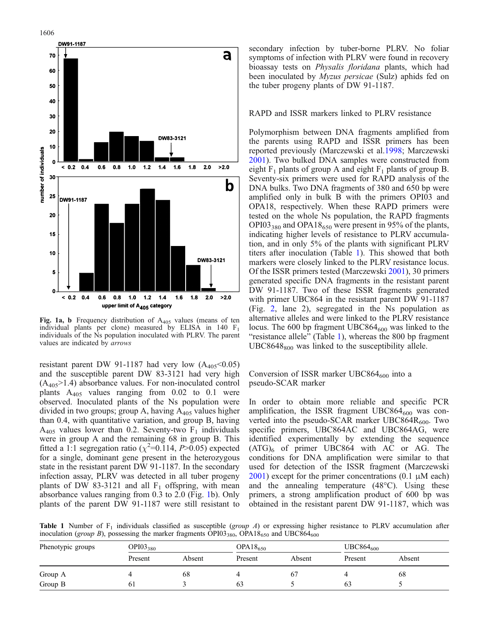<span id="page-2-0"></span>

Fig. 1a, b Frequency distribution of  $A_{405}$  values (means of ten individual plants per clone) measured by ELISA in 140 F1 individuals of the Ns population inoculated with PLRV. The parent values are indicated by arrows

resistant parent DW 91-1187 had very low  $(A_{405} < 0.05)$ and the susceptible parent DW 83-3121 had very high  $(A_{405} > 1.4)$  absorbance values. For non-inoculated control plants  $A_{405}$  values ranging from 0.02 to 0.1 were observed. Inoculated plants of the Ns population were divided in two groups; group A, having  $A_{405}$  values higher than 0.4, with quantitative variation, and group B, having  $A_{405}$  values lower than 0.2. Seventy-two  $F_1$  individuals were in group A and the remaining 68 in group B. This fitted a 1:1 segregation ratio ( $\chi^2$ =0.114, P>0.05) expected for a single, dominant gene present in the heterozygous state in the resistant parent DW 91-1187. In the secondary infection assay, PLRV was detected in all tuber progeny plants of DW 83-3121 and all  $F_1$  offspring, with mean absorbance values ranging from 0.3 to 2.0 (Fig. 1b). Only plants of the parent DW 91-1187 were still resistant to

secondary infection by tuber-borne PLRV. No foliar symptoms of infection with PLRV were found in recovery bioassay tests on Physalis floridana plants, which had been inoculated by Myzus persicae (Sulz) aphids fed on the tuber progeny plants of DW 91-1187.

## RAPD and ISSR markers linked to PLRV resistance

Polymorphism between DNA fragments amplified from the parents using RAPD and ISSR primers has been reported previously (Marczewski et al.[1998;](#page-5-0) Marczewski [2001](#page-4-0)). Two bulked DNA samples were constructed from eight  $F_1$  plants of group A and eight  $F_1$  plants of group B. Seventy-six primers were used for RAPD analysis of the DNA bulks. Two DNA fragments of 380 and 650 bp were amplified only in bulk B with the primers OPI03 and OPA18, respectively. When these RAPD primers were tested on the whole Ns population, the RAPD fragments  $OPI03_{380}$  and  $OPA18_{650}$  were present in 95% of the plants, indicating higher levels of resistance to PLRV accumulation, and in only 5% of the plants with significant PLRV titers after inoculation (Table 1). This showed that both markers were closely linked to the PLRV resistance locus. Of the ISSR primers tested (Marczewski [2001](#page-4-0)), 30 primers generated specific DNA fragments in the resistant parent DW 91-1187. Two of these ISSR fragments generated with primer UBC864 in the resistant parent DW 91-1187 (Fig. [2,](#page-3-0) lane 2), segregated in the Ns population as alternative alleles and were linked to the PLRV resistance locus. The 600 bp fragment UBC864 $_{600}$  was linked to the "resistance allele" (Table 1), whereas the 800 bp fragment  $UBC8648<sub>800</sub>$  was linked to the susceptibility allele.

## Conversion of ISSR marker UBC864 $_{600}$  into a pseudo-SCAR marker

In order to obtain more reliable and specific PCR amplification, the ISSR fragment  $UBC864_{600}$  was converted into the pseudo-SCAR marker  $UBC864R_{600}$ . Two specific primers, UBC864AC and UBC864AG, were identified experimentally by extending the sequence  $(ATG)$ <sub>6</sub> of primer UBC864 with AC or AG. The conditions for DNA amplification were similar to that used for detection of the ISSR fragment (Marczewski [2001](#page-4-0)) except for the primer concentrations  $(0.1 \mu M$  each) and the annealing temperature (48°C). Using these primers, a strong amplification product of 600 bp was obtained in the resistant parent DW 91-1187, which was

**Table 1** Number of  $F_1$  individuals classified as susceptible (group A) or expressing higher resistance to PLRV accumulation after inoculation (group B), possessing the marker fragments  $OPI03_{380}$ ,  $OPA18_{650}$  and UBC864<sub>600</sub>

| Phenotypic groups | OPI03 <sub>380</sub> |        | $OPA18_{650}$ |          | $UBC864_{600}$ |        |  |
|-------------------|----------------------|--------|---------------|----------|----------------|--------|--|
|                   | Present              | Absent | Present       | Absent   | Present        | Absent |  |
| Group A           |                      | 68     |               | $\sigma$ |                | 68     |  |
| Group B           | 61                   |        | O3            |          | 63             |        |  |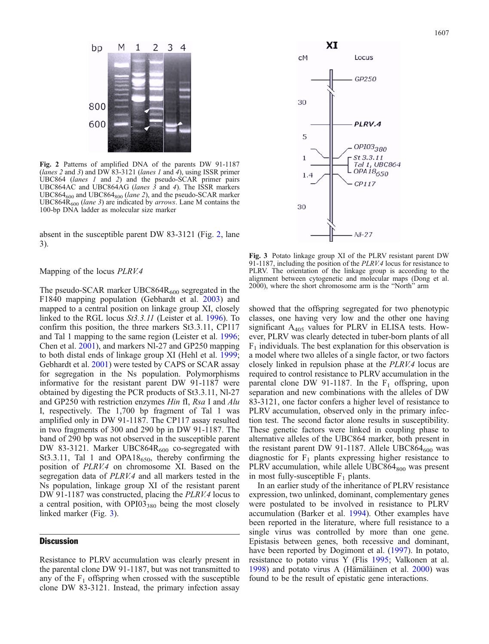<span id="page-3-0"></span>

Fig. 2 Patterns of amplified DNA of the parents DW 91-1187 (lanes 2 and 3) and DW 83-3121 (lanes 1 and 4), using ISSR primer UBC864 (lanes 1 and 2) and the pseudo-SCAR primer pairs UBC864AC and UBC864AG (lanes  $\overline{3}$  and 4). The ISSR markers  $UBC864<sub>600</sub>$  and  $UBC864<sub>800</sub>$  (lane 2), and the pseudo-SCAR marker UBC864R<sub>600</sub> (lane 3) are indicated by arrows. Lane M contains the 100-bp DNA ladder as molecular size marker

absent in the susceptible parent DW 83-3121 (Fig. 2, lane 3).

#### Mapping of the locus PLRV.4

The pseudo-SCAR marker UBC864 $R_{600}$  segregated in the F1840 mapping population (Gebhardt et al. [2003](#page-4-0)) and mapped to a central position on linkage group XI, closely linked to the RGL locus St3.3.11 (Leister et al. [1996\)](#page-4-0). To confirm this position, the three markers St3.3.11, CP117 and Tal 1 mapping to the same region (Leister et al. [1996](#page-4-0); Chen et al. [2001\)](#page-4-0), and markers Nl-27 and GP250 mapping to both distal ends of linkage group XI (Hehl et al. [1999](#page-4-0); Gebhardt et al. [2001](#page-4-0)) were tested by CAPS or SCAR assay for segregation in the Ns population. Polymorphisms informative for the resistant parent DW 91-1187 were obtained by digesting the PCR products of St3.3.11, Nl-27 and GP250 with restriction enzymes Hin fI, Rsa I and Alu I, respectively. The 1,700 bp fragment of Tal 1 was amplified only in DW 91-1187. The CP117 assay resulted in two fragments of 300 and 290 bp in DW 91-1187. The band of 290 bp was not observed in the susceptible parent DW 83-3121. Marker UBC864 $R_{600}$  co-segregated with St3.3.11, Tal 1 and OPA18 $_{650}$ , thereby confirming the position of PLRV.4 on chromosome XI. Based on the segregation data of PLRV.4 and all markers tested in the Ns population, linkage group XI of the resistant parent DW 91-1187 was constructed, placing the *PLRV.4* locus to a central position, with  $OPI03_{380}$  being the most closely linked marker (Fig. 3).

#### **Discussion**

Resistance to PLRV accumulation was clearly present in the parental clone DW 91-1187, but was not transmitted to any of the  $F_1$  offspring when crossed with the susceptible clone DW 83-3121. Instead, the primary infection assay



Fig. 3 Potato linkage group XI of the PLRV resistant parent DW 91-1187, including the position of the *PLRV.4* locus for resistance to PLRV. The orientation of the linkage group is according to the alignment between cytogenetic and molecular maps (Dong et al. 2000), where the short chromosome arm is the "North" arm

showed that the offspring segregated for two phenotypic classes, one having very low and the other one having significant  $A_{405}$  values for PLRV in ELISA tests. However, PLRV was clearly detected in tuber-born plants of all  $F_1$  individuals. The best explanation for this observation is a model where two alleles of a single factor, or two factors closely linked in repulsion phase at the PLRV.4 locus are required to control resistance to PLRV accumulation in the parental clone DW 91-1187. In the  $F_1$  offspring, upon separation and new combinations with the alleles of DW 83-3121, one factor confers a higher level of resistance to PLRV accumulation, observed only in the primary infection test. The second factor alone results in susceptibility. These genetic factors were linked in coupling phase to alternative alleles of the UBC864 marker, both present in the resistant parent DW 91-1187. Allele UBC864 $_{600}$  was diagnostic for  $F_1$  plants expressing higher resistance to PLRV accumulation, while allele  $UBC864<sub>800</sub>$  was present in most fully-susceptible  $F_1$  plants.

In an earlier study of the inheritance of PLRV resistance expression, two unlinked, dominant, complementary genes were postulated to be involved in resistance to PLRV accumulation (Barker et al. [1994](#page-4-0)). Other examples have been reported in the literature, where full resistance to a single virus was controlled by more than one gene. Epistasis between genes, both recessive and dominant, have been reported by Dogimont et al. ([1997\)](#page-4-0). In potato, resistance to potato virus Y (Flis [1995;](#page-4-0) Valkonen at al. [1998](#page-5-0)) and potato virus A (Hämäläinen et al. [2000](#page-4-0)) was found to be the result of epistatic gene interactions.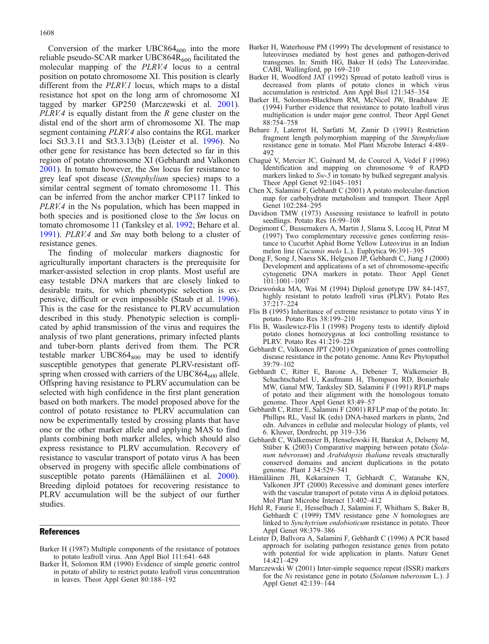<span id="page-4-0"></span>Conversion of the marker  $UBC864_{600}$  into the more reliable pseudo-SCAR marker UBC864R<sub>600</sub> facilitated the molecular mapping of the PLRV.4 locus to a central position on potato chromosome XI. This position is clearly different from the PLRV.1 locus, which maps to a distal resistance hot spot on the long arm of chromosome XI tagged by marker GP250 (Marczewski et al. [2001\)](#page-5-0).  $PLRV.4$  is equally distant from the R gene cluster on the distal end of the short arm of chromosome XI. The map segment containing PLRV.4 also contains the RGL marker loci St3.3.11 and St3.3.13(b) (Leister et al. 1996). No other gene for resistance has been detected so far in this region of potato chromosome XI (Gebhardt and Valkonen 2001). In tomato however, the Sm locus for resistance to grey leaf spot disease (Stemphylium species) maps to a similar central segment of tomato chromosome 11. This can be inferred from the anchor marker CP117 linked to PLRV.4 in the Ns population, which has been mapped in both species and is positioned close to the *Sm* locus on tomato chromosome 11 (Tanksley et al. [1992;](#page-5-0) Behare et al. 1991). PLRV.4 and Sm may both belong to a cluster of resistance genes.

The finding of molecular markers diagnostic for agriculturally important characters is the prerequisite for marker-assisted selection in crop plants. Most useful are easy testable DNA markers that are closely linked to desirable traits, for which phenotypic selection is expensive, difficult or even impossible (Staub et al. [1996\)](#page-5-0). This is the case for the resistance to PLRV accumulation described in this study. Phenotypic selection is complicated by aphid transmission of the virus and requires the analysis of two plant generations, primary infected plants and tuber-born plants derived from them. The PCR testable marker  $UBC864_{800}$  may be used to identify susceptible genotypes that generate PLRV-resistant offspring when crossed with carriers of the  $UBC864_{600}$  allele. Offspring having resistance to PLRV accumulation can be selected with high confidence in the first plant generation based on both markers. The model proposed above for the control of potato resistance to PLRV accumulation can now be experimentally tested by crossing plants that have one or the other marker allele and applying MAS to find plants combining both marker alleles, which should also express resistance to PLRV accumulation. Recovery of resistance to vascular transport of potato virus A has been observed in progeny with specific allele combinations of susceptible potato parents (Hämäläinen et al. 2000). Breeding diploid potatoes for recovering resistance to PLRV accumulation will be the subject of our further studies.

#### References

- Barker H (1987) Multiple components of the resistance of potatoes to potato leafroll virus. Ann Appl Biol 111:641–648
- Barker H, Solomon RM (1990) Evidence of simple genetic control in potato of ability to restrict potato leafroll virus concentration in leaves. Theor Appl Genet 80:188–192
- Barker H, Waterhouse PM (1999) The development of resistance to luteoviruses mediated by host genes and pathogen-derived transgenes. In: Smith HG, Baker H (eds) The Luteoviridae. CABI, Wallingford, pp 169–210
- Barker H, Woodford JAT (1992) Spread of potato leafroll virus is decreased from plants of potato clones in which virus accumulation is restricted. Ann Appl Biol 121:345–354
- Barker H, Solomon-Blackburn RM, McNicol JW, Bradshaw JE (1994) Further evidence that resistance to potato leafroll virus multiplication is under major gene control. Theor Appl Genet 88:754–758
- Behare J, Laterrot H, Sarfatti M, Zamir D (1991) Restriction fragment length polymorphism mapping of the Stemphylium resistance gene in tomato. Mol Plant Microbe Interact 4:489– 492
- Chagué V, Mercier JC, Guénard M, de Courcel A, Vedel F (1996) Identification and mapping on chromosome 9 of RAPD markers linked to Sw-5 in tomato by bulked segregant analysis. Theor Appl Genet 92:1045–1051
- Chen X, Salamini F, Gebhardt C (2001) A potato molecular-function map for carbohydrate metabolism and transport. Theor Appl Genet 102:284–295
- Davidson TMW (1973) Assessing resistance to leafroll in potato seedlings. Potato Res 16:99–108
- Dogimont C, Bussemakers A, Martin J, Slama S, Lecoq H, Pitrat M (1997) Two complementary recessive genes conferring resistance to Cucurbit Aphid Borne Yellow Luteovirus in an Indian melon line (Cucumis melo L.). Euphytica 96:391–395
- Dong F, Song J, Naess SK, Helgeson JP, Gebhardt C, Jiang J (2000) Development and applications of a set of chromosome-specific cytogenetic DNA markers in potato. Theor Appl Genet 101:1001–1007
- Dziewońska MA, Waś M (1994) Diploid genotype DW 84-1457, highly resistant to potato leafroll virus (PLRV). Potato Res 37:217–224
- Flis B (1995) Inheritance of extreme resistance to potato virus Y in potato. Potato Res 38:199–210
- Flis B, Wasilewicz-Flis I (1998) Progeny tests to identify diploid potato clones homozygous at loci controlling resistance to PLRV. Potato Res 41:219–228
- Gebhardt C, Valkonen JPT (2001) Organization of genes controlling disease resistance in the potato genome. Annu Rev Phytopathol 39:79–102
- Gebhardt C, Ritter E, Barone A, Debener T, Walkemeier B, Schachtschabel U, Kaufmann H, Thompson RD, Bonierbale MW, Ganal MW, Tanksley SD, Salamini F (1991) RFLP maps of potato and their alignment with the homologous tomato genome. Theor Appl Genet 83:49–57
- Gebhardt C, Ritter E, Salamini F (2001) RFLP map of the potato. In: Phillips RL, Vasil IK (eds) DNA-based markers in plants, 2nd edn. Advances in cellular and molecular biology of plants, vol 6. Kluwer, Dordrecht, pp 319–336
- Gebhardt C, Walkemeier B, Henselewski H, Barakat A, Delseny M, Stüber K (2003) Comparative mapping between potato (Solanum tuberosum) and Arabidopsis thaliana reveals structurally conserved domains and ancient duplications in the potato genome. Plant J 34:529–541
- Hämäläinen JH, Kekarainen T, Gebhardt C, Watanabe KN, Valkonen JPT (2000) Recessive and dominant genes interfere with the vascular transport of potato virus A in diploid potatoes. Mol Plant Microbe Interact 13:402–412
- Hehl R, Faurie E, Hesselbach J, Salamini F, Whitham S, Baker B, Gebhardt C (1999) TMV resistance gene N homologues are linked to Synchytrium endobioticum resistance in potato. Theor Appl Genet 98:379–386
- Leister D, Ballvora A, Salamini F, Gebhardt C (1996) A PCR based approach for isolating pathogen resistance genes from potato with potential for wide application in plants. Nature Genet 14:421–429
- Marczewski W (2001) Inter-simple sequence repeat (ISSR) markers for the Ns resistance gene in potato (Solanum tuberosum L.). J Appl Genet 42:139–144